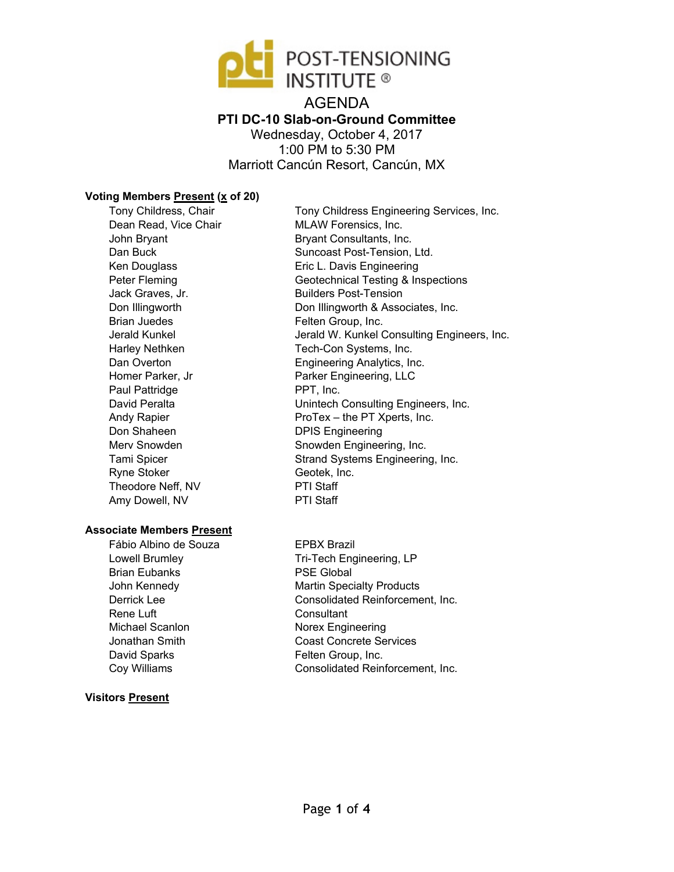

AGENDA **PTI DC-10 Slab-on-Ground Committee**  Wednesday, October 4, 2017 1:00 PM to 5:30 PM Marriott Cancún Resort, Cancún, MX

### **Voting Members Present (x of 20)**

Tony Childress, Chair Dean Read, Vice Chair John Bryant Dan Buck Ken Douglass Peter Fleming Jack Graves, Jr. Don Illingworth Brian Juedes Jerald Kunkel Harley Nethken Dan Overton Homer Parker, Jr Paul Pattridge David Peralta Andy Rapier Don Shaheen Merv Snowden Tami Spicer Ryne Stoker Theodore Neff, NV Amy Dowell, NV

### **Associate Members Present**

Fábio Albino de Souza Lowell Brumley Brian Eubanks John Kennedy Derrick Lee Rene Luft Michael Scanlon Jonathan Smith David Sparks Coy Williams

### **Visitors Present**

Tony Childress Engineering Services, Inc. MLAW Forensics, Inc. Bryant Consultants, Inc. Suncoast Post-Tension, Ltd. Eric L. Davis Engineering Geotechnical Testing & Inspections Builders Post-Tension Don Illingworth & Associates, Inc. Felten Group, Inc. Jerald W. Kunkel Consulting Engineers, Inc. Tech-Con Systems, Inc. Engineering Analytics, Inc. Parker Engineering, LLC PPT, Inc. Unintech Consulting Engineers, Inc. ProTex – the PT Xperts, Inc. DPIS Engineering Snowden Engineering, Inc. Strand Systems Engineering, Inc. Geotek, Inc. PTI Staff PTI Staff

EPBX Brazil Tri-Tech Engineering, LP PSE Global Martin Specialty Products Consolidated Reinforcement, Inc. **Consultant** Norex Engineering Coast Concrete Services Felten Group, Inc. Consolidated Reinforcement, Inc.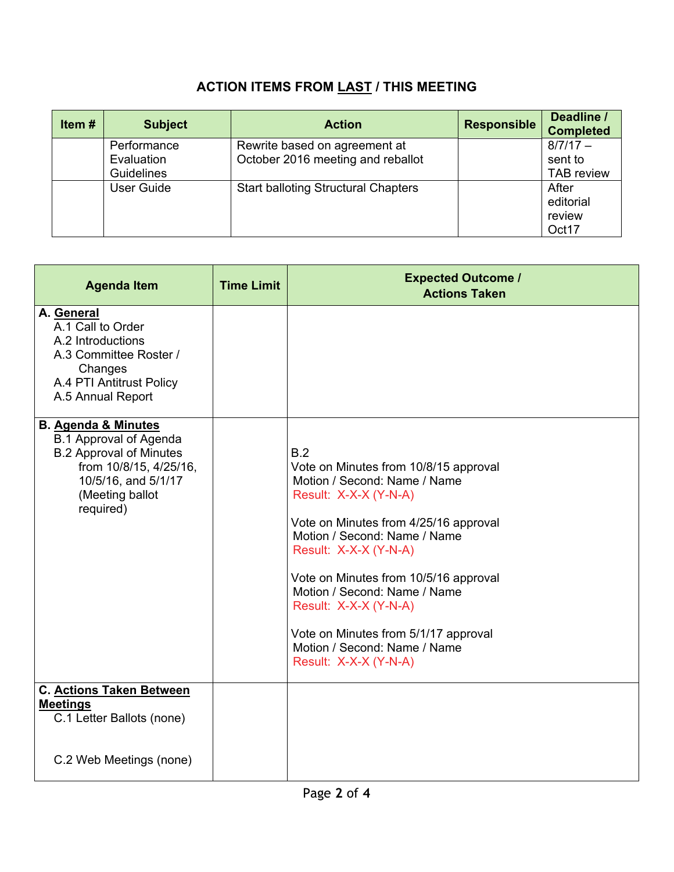# **ACTION ITEMS FROM LAST / THIS MEETING**

| Item $#$ | <b>Subject</b>    | <b>Action</b>                              | <b>Responsible</b> | Deadline /<br><b>Completed</b> |
|----------|-------------------|--------------------------------------------|--------------------|--------------------------------|
|          | Performance       | Rewrite based on agreement at              |                    | $8/7/17 -$                     |
|          | Evaluation        | October 2016 meeting and reballot          |                    | sent to                        |
|          | Guidelines        |                                            |                    | <b>TAB</b> review              |
|          | <b>User Guide</b> | <b>Start balloting Structural Chapters</b> |                    | After                          |
|          |                   |                                            |                    | editorial                      |
|          |                   |                                            |                    | review                         |
|          |                   |                                            |                    | Oct17                          |

| <b>Agenda Item</b>                                                                                                                                                                 | <b>Time Limit</b> | <b>Expected Outcome /</b><br><b>Actions Taken</b>                                                                                                                                                                                                                                                                                                                                                          |
|------------------------------------------------------------------------------------------------------------------------------------------------------------------------------------|-------------------|------------------------------------------------------------------------------------------------------------------------------------------------------------------------------------------------------------------------------------------------------------------------------------------------------------------------------------------------------------------------------------------------------------|
| A. General<br>A.1 Call to Order<br>A.2 Introductions<br>A.3 Committee Roster /<br>Changes<br>A.4 PTI Antitrust Policy<br>A.5 Annual Report                                         |                   |                                                                                                                                                                                                                                                                                                                                                                                                            |
| <b>B. Agenda &amp; Minutes</b><br><b>B.1 Approval of Agenda</b><br><b>B.2 Approval of Minutes</b><br>from 10/8/15, 4/25/16,<br>10/5/16, and 5/1/17<br>(Meeting ballot<br>required) |                   | B.2<br>Vote on Minutes from 10/8/15 approval<br>Motion / Second: Name / Name<br>Result: X-X-X (Y-N-A)<br>Vote on Minutes from 4/25/16 approval<br>Motion / Second: Name / Name<br>Result: X-X-X (Y-N-A)<br>Vote on Minutes from 10/5/16 approval<br>Motion / Second: Name / Name<br>Result: X-X-X (Y-N-A)<br>Vote on Minutes from 5/1/17 approval<br>Motion / Second: Name / Name<br>Result: X-X-X (Y-N-A) |
| C. Actions Taken Between<br><b>Meetings</b><br>C.1 Letter Ballots (none)                                                                                                           |                   |                                                                                                                                                                                                                                                                                                                                                                                                            |
| C.2 Web Meetings (none)                                                                                                                                                            |                   |                                                                                                                                                                                                                                                                                                                                                                                                            |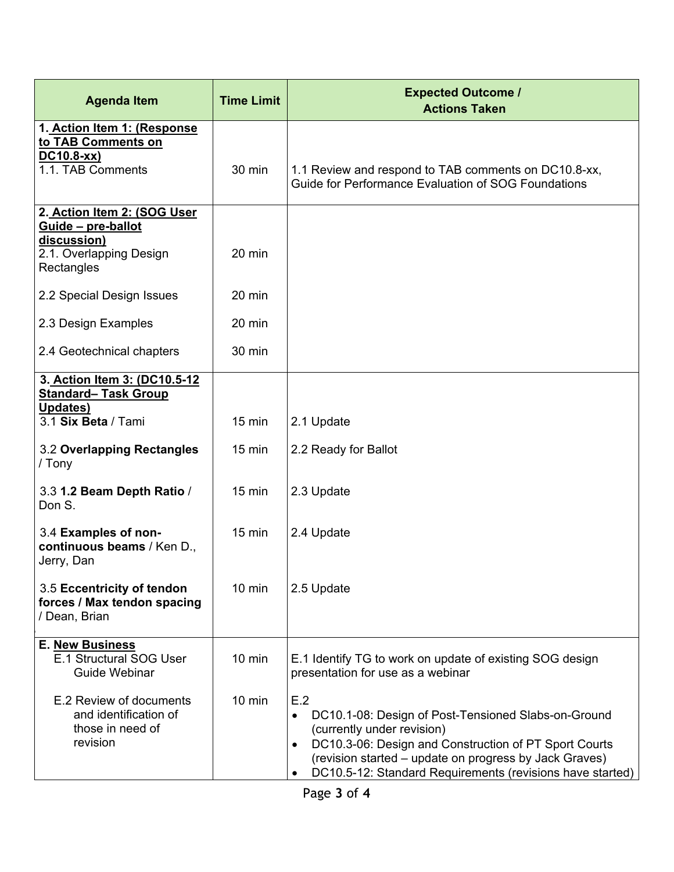| <b>Agenda Item</b>                                                                                        | <b>Time Limit</b> | <b>Expected Outcome /</b><br><b>Actions Taken</b>                                                                                                                                                                                                                                                               |
|-----------------------------------------------------------------------------------------------------------|-------------------|-----------------------------------------------------------------------------------------------------------------------------------------------------------------------------------------------------------------------------------------------------------------------------------------------------------------|
| 1. Action Item 1: (Response<br>to TAB Comments on<br>DC10.8-xx)<br>1.1. TAB Comments                      | 30 min            | 1.1 Review and respond to TAB comments on DC10.8-xx,<br>Guide for Performance Evaluation of SOG Foundations                                                                                                                                                                                                     |
| 2. Action Item 2: (SOG User<br>Guide - pre-ballot<br>discussion)<br>2.1. Overlapping Design<br>Rectangles | 20 min            |                                                                                                                                                                                                                                                                                                                 |
| 2.2 Special Design Issues                                                                                 | 20 min            |                                                                                                                                                                                                                                                                                                                 |
| 2.3 Design Examples                                                                                       | 20 min            |                                                                                                                                                                                                                                                                                                                 |
| 2.4 Geotechnical chapters                                                                                 | 30 min            |                                                                                                                                                                                                                                                                                                                 |
| 3. Action Item 3: (DC10.5-12<br><b>Standard- Task Group</b>                                               |                   |                                                                                                                                                                                                                                                                                                                 |
| Updates)<br>3.1 Six Beta / Tami                                                                           | $15$ min          | 2.1 Update                                                                                                                                                                                                                                                                                                      |
| 3.2 Overlapping Rectangles<br>/ Tony                                                                      | $15 \text{ min}$  | 2.2 Ready for Ballot                                                                                                                                                                                                                                                                                            |
| 3.3 1.2 Beam Depth Ratio /<br>Don S.                                                                      | $15 \text{ min}$  | 2.3 Update                                                                                                                                                                                                                                                                                                      |
| 3.4 Examples of non-<br>continuous beams / Ken D.,<br>Jerry, Dan                                          | $15$ min          | 2.4 Update                                                                                                                                                                                                                                                                                                      |
| 3.5 Eccentricity of tendon<br>forces / Max tendon spacing<br>/ Dean, Brian                                | $10 \text{ min}$  | 2.5 Update                                                                                                                                                                                                                                                                                                      |
| <b>E. New Business</b><br>E.1 Structural SOG User<br>Guide Webinar                                        | $10$ min          | E.1 Identify TG to work on update of existing SOG design<br>presentation for use as a webinar                                                                                                                                                                                                                   |
| E.2 Review of documents<br>and identification of<br>those in need of<br>revision                          | $10 \text{ min}$  | E.2<br>DC10.1-08: Design of Post-Tensioned Slabs-on-Ground<br>$\bullet$<br>(currently under revision)<br>DC10.3-06: Design and Construction of PT Sport Courts<br>$\bullet$<br>(revision started – update on progress by Jack Graves)<br>DC10.5-12: Standard Requirements (revisions have started)<br>$\bullet$ |